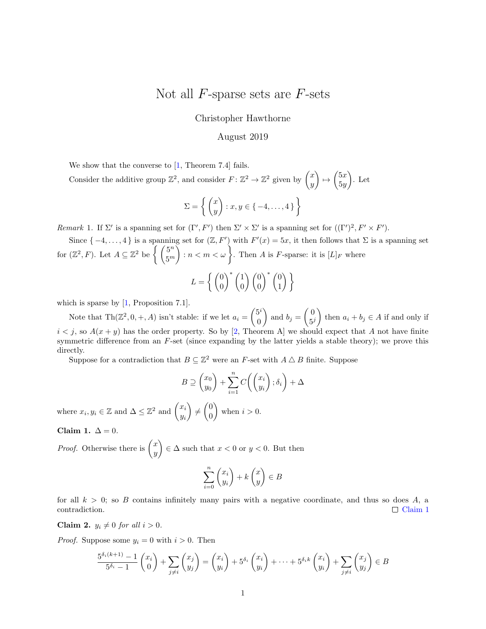## <span id="page-0-2"></span>Not all  $F$ -sparse sets are  $F$ -sets

Christopher Hawthorne

## August 2019

We show that the converse to [\[1,](#page-1-0) Theorem 7.4] fails.

Consider the additive group  $\mathbb{Z}^2$ , and consider  $F: \mathbb{Z}^2 \to \mathbb{Z}^2$  given by  $\begin{pmatrix} x \\ y \end{pmatrix}$  $\hat{y}$  $\bigg\} \mapsto \bigg( \begin{matrix} 5x \\ 5x \end{matrix} \bigg)$  $5y$  $\big)$ . Let

$$
\Sigma = \left\{ \begin{pmatrix} x \\ y \end{pmatrix} : x, y \in \{-4, \dots, 4\} \right\}
$$

Remark 1. If  $\Sigma'$  is a spanning set for  $(\Gamma', F')$  then  $\Sigma' \times \Sigma'$  is a spanning set for  $((\Gamma')^2, F' \times F')$ .

Since  $\{-4,\ldots,4\}$  is a spanning set for  $(\mathbb{Z}, F')$  with  $F'(x) = 5x$ , it then follows that  $\Sigma$  is a spanning set for  $(\mathbb{Z}^2, F)$ . Let  $A \subseteq \mathbb{Z}^2$  be  $\left\{ \begin{pmatrix} 5^n \\ \epsilon_m \end{pmatrix} \right\}$  $5^m$  $\Big) : n < m < \omega \big\}$ . Then A is F-sparse: it is  $[L]_F$  where

$$
L = \left\{ \begin{pmatrix} 0 \\ 0 \end{pmatrix}^* \begin{pmatrix} 1 \\ 0 \end{pmatrix} \begin{pmatrix} 0 \\ 0 \end{pmatrix}^* \begin{pmatrix} 0 \\ 1 \end{pmatrix} \right\}
$$

which is sparse by  $[1,$  Proposition 7.1].

Note that  $\text{Th}(\mathbb{Z}^2, 0, +, A)$  isn't stable: if we let  $a_i = \begin{pmatrix} 5^i \\ 0 \end{pmatrix}$ 0 ) and  $b_j = \begin{pmatrix} 0 \\ 5i \end{pmatrix}$  $5^j$ then  $a_i + b_j \in A$  if and only if  $i < j$ , so  $A(x + y)$  has the order property. So by [\[2,](#page-1-1) Theorem A] we should expect that A not have finite symmetric difference from an  $F$ -set (since expanding by the latter yields a stable theory); we prove this directly.

Suppose for a contradiction that  $B \subseteq \mathbb{Z}^2$  were an F-set with  $A \triangle B$  finite. Suppose

$$
B \supseteq \binom{x_0}{y_0} + \sum_{i=1}^n C\left(\binom{x_i}{y_i}; \delta_i\right) + \Delta
$$

where  $x_i, y_i \in \mathbb{Z}$  and  $\Delta \leq \mathbb{Z}^2$  and  $\begin{pmatrix} x_i \\ y_i \end{pmatrix}$ yi  $\Big) \neq \Big( \begin{smallmatrix} 0 \\ 0 \end{smallmatrix} \Big)$ 0 when  $i > 0$ .

<span id="page-0-0"></span>Claim 1.  $\Delta = 0$ .

*Proof.* Otherwise there is  $\begin{pmatrix} x \\ y \end{pmatrix}$  $\hat{y}$  $\Big) \in \Delta$  such that  $x < 0$  or  $y < 0$ . But then

$$
\sum_{i=0}^{n} \binom{x_i}{y_i} + k \binom{x}{y} \in B
$$

for all  $k > 0$ ; so B contains infinitely many pairs with a negative coordinate, and thus so does A, a contradiction.  $\Box$  [Claim 1](#page-0-0)

<span id="page-0-1"></span>Claim 2.  $y_i \neq 0$  for all  $i > 0$ .

*Proof.* Suppose some  $y_i = 0$  with  $i > 0$ . Then

$$
\frac{5^{\delta_i(k+1)}-1}{5^{\delta_i}-1}\binom{x_i}{0} + \sum_{j\neq i}\binom{x_j}{y_j} = \binom{x_i}{y_i} + 5^{\delta_i}\binom{x_i}{y_i} + \dots + 5^{\delta_i k}\binom{x_i}{y_i} + \sum_{j\neq i}\binom{x_j}{y_j} \in B
$$